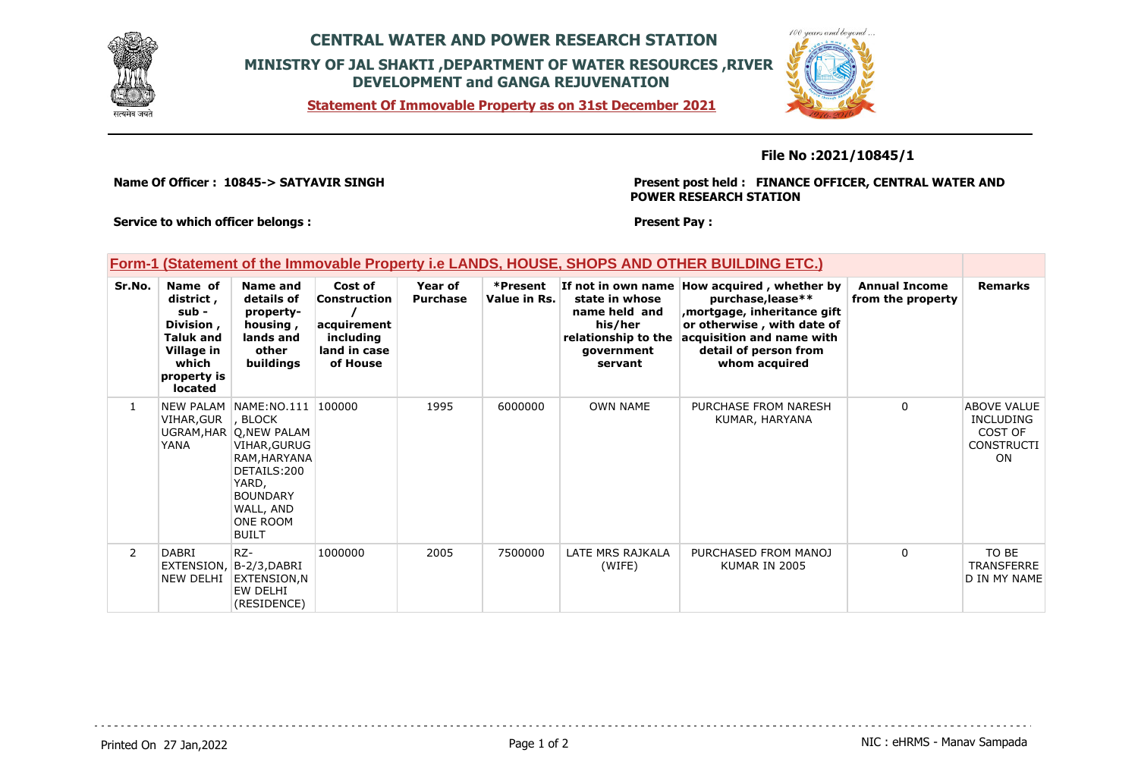

## **CENTRAL WATER AND POWER RESEARCH STATION MINISTRY OF JAL SHAKTI ,DEPARTMENT OF WATER RESOURCES ,RIVER DEVELOPMENT and GANGA REJUVENATION**

**Statement Of Immovable Property as on 31st December 2021**



**File No :2021/10845/1**

**Name Of Officer : 10845-> SATYAVIR SINGH** 

EW DELHI (RESIDENCE)

**Present post held : FINANCE OFFICER, CENTRAL WATER AND POWER RESEARCH STATION**

**Service to which officer belongs :** 

**Present Pay :** 

|                | Form-1 (Statement of the Immovable Property i.e LANDS, HOUSE, SHOPS AND OTHER BUILDING ETC.)                     |                                                                                                                                                                      |                                                                                        |                            |                          |                                                                                            |                                                                                                                                                                                                     |                                           |                                                                                     |
|----------------|------------------------------------------------------------------------------------------------------------------|----------------------------------------------------------------------------------------------------------------------------------------------------------------------|----------------------------------------------------------------------------------------|----------------------------|--------------------------|--------------------------------------------------------------------------------------------|-----------------------------------------------------------------------------------------------------------------------------------------------------------------------------------------------------|-------------------------------------------|-------------------------------------------------------------------------------------|
| Sr.No.         | Name of<br>district ,<br>sub -<br>Division,<br><b>Taluk and</b><br>Village in<br>which<br>property is<br>located | Name and<br>details of<br>property-<br>housing,<br>lands and<br>other<br>buildings                                                                                   | Cost of<br><b>Construction</b><br>acquirement<br>including<br>land in case<br>of House | Year of<br><b>Purchase</b> | *Present<br>Value in Rs. | state in whose<br>name held and<br>his/her<br>relationship to the<br>government<br>servant | If not in own name How acquired, whether by<br>purchase, lease**<br>mortgage, inheritance gift<br>or otherwise, with date of<br>acquisition and name with<br>detail of person from<br>whom acquired | <b>Annual Income</b><br>from the property | <b>Remarks</b>                                                                      |
| $\mathbf{1}$   | VIHAR, GUR  , BLOCK<br>YANA                                                                                      | NEW PALAM NAME:NO.111<br>UGRAM, HAR O, NEW PALAM<br>VIHAR, GURUG<br>RAM, HARYANA<br>DETAILS:200<br>YARD,<br><b>BOUNDARY</b><br>WALL, AND<br>ONE ROOM<br><b>BUILT</b> | 100000                                                                                 | 1995                       | 6000000                  | <b>OWN NAME</b>                                                                            | PURCHASE FROM NARESH<br>KUMAR, HARYANA                                                                                                                                                              | $\Omega$                                  | <b>ABOVE VALUE</b><br><b>INCLUDING</b><br>COST OF<br><b>CONSTRUCTI</b><br><b>ON</b> |
| $\overline{2}$ | DABRI<br>NEW DELHI                                                                                               | RZ-<br>EXTENSION, B-2/3, DABRI<br>EXTENSION,N                                                                                                                        | 1000000                                                                                | 2005                       | 7500000                  | LATE MRS RAJKALA<br>(WIFE)                                                                 | PURCHASED FROM MANOJ<br>KUMAR IN 2005                                                                                                                                                               | 0                                         | TO BE<br>TRANSFERRE<br>D IN MY NAME                                                 |

Printed On 27 Jan, 2022 2001 12:00 Page 1 of 2 Page 1 of 2 NIC : eHRMS - Manav Sampada